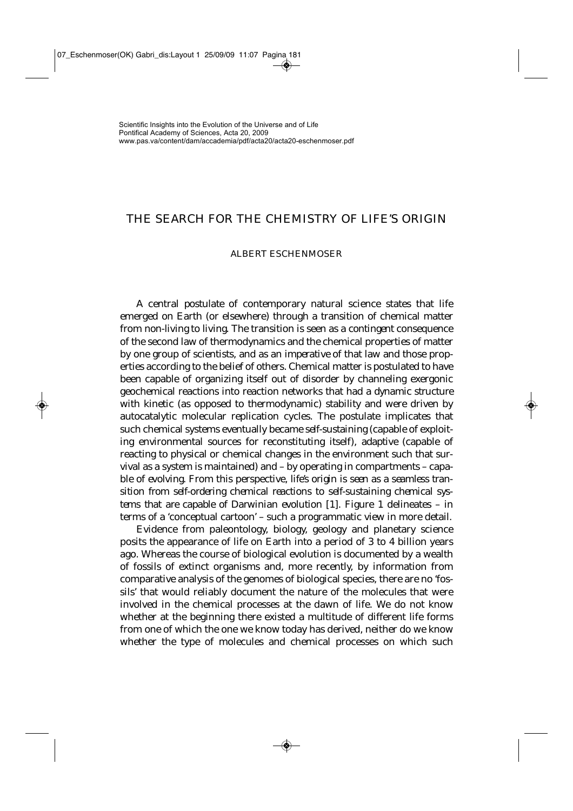## THE SEARCH FOR THE CHEMISTRY OF LIFE'S ORIGIN

#### ALBERT ESCHENMOSER

A central *postulate* of contemporary natural science states that life emerged on Earth (or elsewhere) through a transition of chemical matter from *non-living* to *living*. The transition is seen as a *contingent* consequence of the second law of thermodynamics and the chemical properties of matter by one group of scientists, and as an *imperative* of that law and those properties according to the belief of others. Chemical matter is postulated to have been capable of organizing itself out of disorder by channeling exergonic geochemical reactions into reaction networks that had a *dynamic structure* with kinetic (as opposed to thermodynamic) stability and were driven by autocatalytic molecular replication cycles. The postulate implicates that such chemical systems eventually became *self-sustaining* (capable of exploiting environmental sources for reconstituting itself), *adaptive* (capable of reacting to physical or chemical changes in the environment such that survival as a system is maintained) and – by operating in compartments – capable of *evolving*. From this perspective, *life's origin is seen as* a *seamless transition from self-ordering chemical reactions* to *self-sustaining chemical systems that are capable of Darwinian evolution* [1]. Figure 1 delineates – in terms of a 'conceptual cartoon' – such a programmatic view in more detail.

Evidence from paleontology, biology, geology and planetary science posits the appearance of life on Earth into a period of 3 to 4 billion years ago. Whereas the course of biological evolution is documented by a wealth of fossils of extinct organisms and, more recently, by information from comparative analysis of the genomes of biological species, there are no 'fossils' that would reliably document the nature of the molecules that were involved in the chemical processes at the dawn of life. We do not know whether at the beginning there existed a multitude of different life forms from one of which the one we know today has derived, neither do we know whether the type of molecules and chemical processes on which such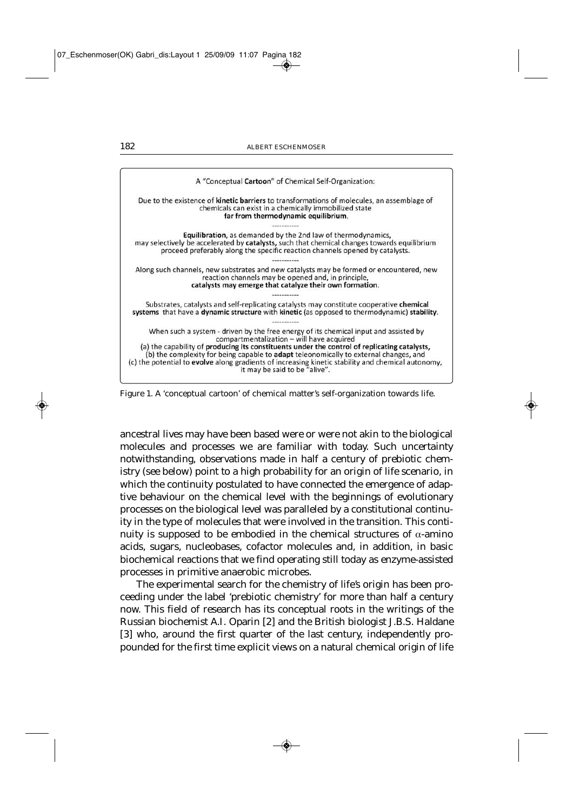| A "Conceptual Cartoon" of Chemical Self-Organization:                                                                                                                                                                                                                                                                               |
|-------------------------------------------------------------------------------------------------------------------------------------------------------------------------------------------------------------------------------------------------------------------------------------------------------------------------------------|
| Due to the existence of <b>kinetic barriers</b> to transformations of molecules, an assemblage of<br>chemicals can exist in a chemically immobilized state<br>far from thermodynamic equilibrium.                                                                                                                                   |
|                                                                                                                                                                                                                                                                                                                                     |
| Equilibration, as demanded by the 2nd law of thermodynamics,<br>may selectively be accelerated by catalysts, such that chemical changes towards equilibrium<br>proceed preferably along the specific reaction channels opened by catalysts.                                                                                         |
|                                                                                                                                                                                                                                                                                                                                     |
| Along such channels, new substrates and new catalysts may be formed or encountered, new<br>reaction channels may be opened and, in principle,<br>catalysts may emerge that catalyze their own formation.                                                                                                                            |
|                                                                                                                                                                                                                                                                                                                                     |
| Substrates, catalysts and self-replicating catalysts may constitute cooperative chemical<br>systems that have a dynamic structure with kinetic (as opposed to thermodynamic) stability.                                                                                                                                             |
| When such a system - driven by the free energy of its chemical input and assisted by<br>compartmentalization - will have acquired                                                                                                                                                                                                   |
| (a) the capability of producing its constituents under the control of replicating catalysts,<br>(b) the complexity for being capable to <b>adapt</b> teleonomically to external changes, and<br>(c) the potential to evolve along gradients of increasing kinetic stability and chemical autonomy,<br>it may be said to be "alive". |

Figure 1. A 'conceptual cartoon' of chemical matter's self-organization towards life.

ancestral lives may have been based were or were not akin to the biological molecules and processes we are familiar with today. Such uncertainty notwithstanding, observations made in half a century of prebiotic chemistry (see below) point to a high probability for an origin of life scenario, in which the continuity postulated to have connected the emergence of adaptive behaviour on the chemical level with the beginnings of evolutionary processes on the biological level was paralleled by a constitutional continuity in the type of molecules that were involved in the transition. This continuity is supposed to be embodied in the chemical structures of α-amino acids, sugars, nucleobases, cofactor molecules and, in addition, in basic biochemical reactions that we find operating still today as enzyme-assisted processes in primitive anaerobic microbes.

The experimental search for the chemistry of life's origin has been proceeding under the label 'prebiotic chemistry' for more than half a century now. This field of research has its conceptual roots in the writings of the Russian biochemist *A.I. Oparin* [2] and the British biologist *J.B.S. Haldane* [3] who, around the first quarter of the last century, independently propounded for the first time explicit views on a natural chemical origin of life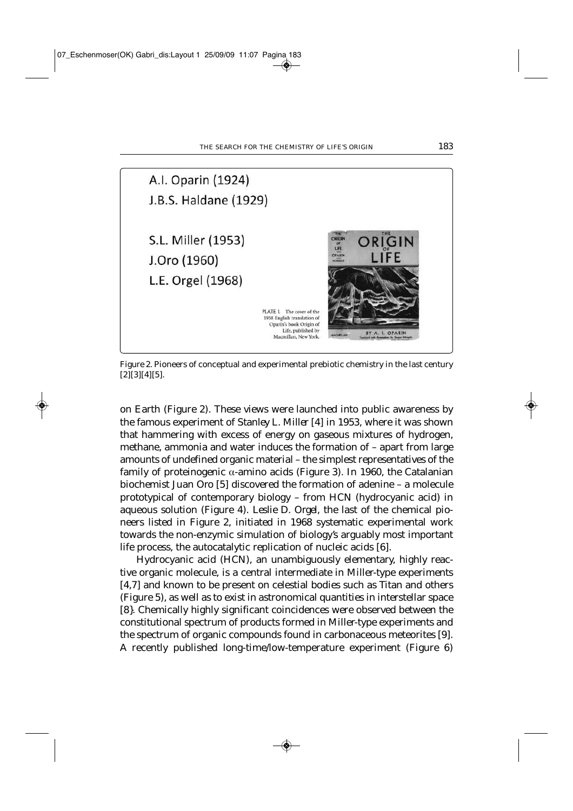

Figure 2. Pioneers of conceptual and experimental prebiotic chemistry in the last century [2][3][4][5].

on Earth (Figure 2). These views were launched into public awareness by the famous experiment of *Stanley L. Miller* [4] in 1953, where it was shown that hammering with excess of energy on gaseous mixtures of hydrogen, methane, ammonia and water induces the formation of – apart from large amounts of undefined organic material – the simplest representatives of the family of proteinogenic α-amino acids (Figure 3). In 1960, the Catalanian biochemist *Juan Oro* [5] discovered the formation of adenine – a molecule prototypical of contemporary biology – from HCN (hydrocyanic acid) in aqueous solution (Figure 4). *Leslie D. Orgel,* the last of the chemical pioneers listed in Figure 2, initiated in 1968 systematic experimental work towards the non-enzymic simulation of biology's arguably most important life process, the autocatalytic replication of nucleic acids [6].

Hydrocyanic acid (HCN), an unambiguously elementary, highly reactive organic molecule, is a central intermediate in Miller-type experiments [4,7] and known to be present on celestial bodies such as Titan and others (Figure 5), as well as to exist in astronomical quantities in interstellar space [8}. Chemically highly significant coincidences were observed between the constitutional spectrum of products formed in Miller-type experiments and the spectrum of organic compounds found in carbonaceous meteorites [9]. A recently published long-time/low-temperature experiment (Figure 6)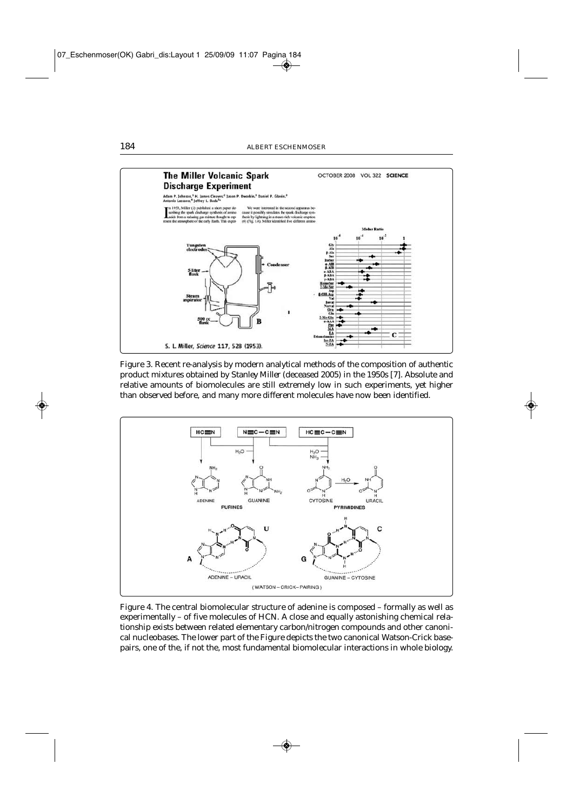

Figure 3. Recent re-analysis by modern analytical methods of the composition of authentic product mixtures obtained by *Stanley Miller* (deceased 2005) in the 1950s [7]. Absolute and relative amounts of biomolecules are still extremely low in such experiments, yet higher than observed before, and many more different molecules have now been identified.



Figure 4. The central biomolecular structure of adenine is composed – formally as well as experimentally – of five molecules of HCN. A close and equally astonishing chemical relationship exists between related elementary carbon/nitrogen compounds and other canonical nucleobases. The lower part of the Figure depicts the two canonical Watson-Crick basepairs, one of the, if not the, most fundamental biomolecular interactions in whole biology.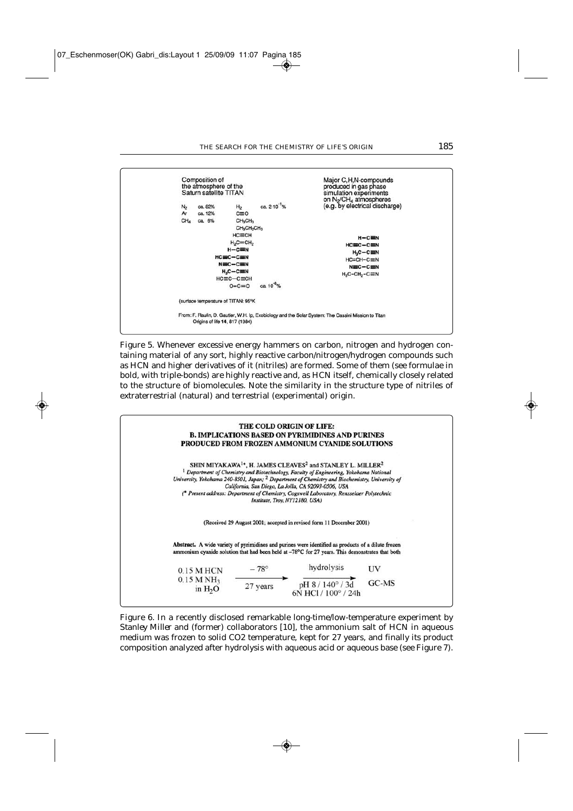

Figure 5. Whenever excessive energy hammers on carbon, nitrogen and hydrogen containing material of any sort, highly reactive carbon/nitrogen/hydrogen compounds such as HCN and higher derivatives of it (nitriles) are formed. Some of them (see formulae in bold, with triple-bonds) are highly reactive and, as HCN itself, chemically closely related to the structure of biomolecules. Note the similarity in the structure type of nitriles of extraterrestrial (natural) and terrestrial (experimental) origin.



Figure 6. In a recently disclosed remarkable long-time/low-temperature experiment by *Stanley Miller* and (former) collaborators [10], the ammonium salt of HCN in aqueous medium was frozen to solid CO2 temperature, kept for 27 years, and finally its product composition analyzed after hydrolysis with aqueous acid or aqueous base (see Figure 7).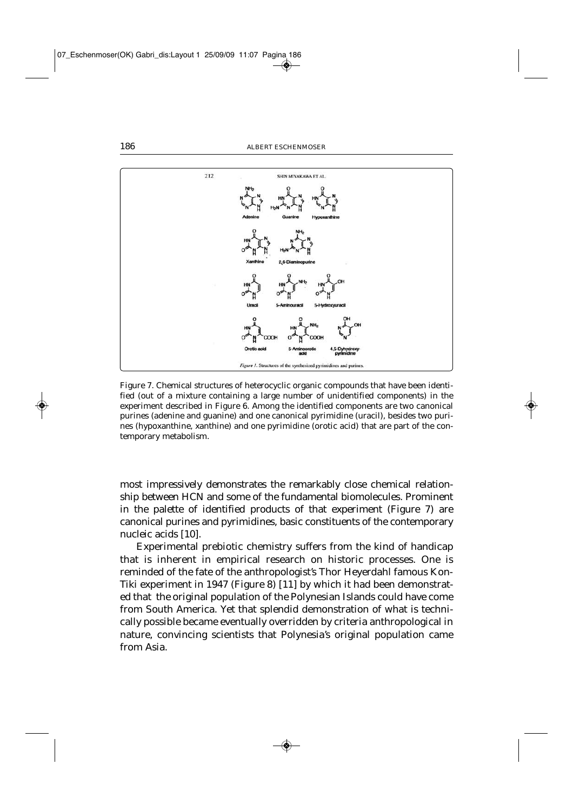

Figure 7. Chemical structures of heterocyclic organic compounds that have been identified (out of a mixture containing a large number of unidentified components) in the experiment described in Figure 6. Among the identified components are two canonical purines (adenine and guanine) and one canonical pyrimidine (uracil), besides two purines (hypoxanthine, xanthine) and one pyrimidine (orotic acid) that are part of the contemporary metabolism.

most impressively demonstrates the remarkably close chemical relationship between HCN and some of the fundamental biomolecules. Prominent in the palette of identified products of that experiment (Figure 7) are canonical purines and pyrimidines, basic constituents of the contemporary nucleic acids [10].

Experimental prebiotic chemistry suffers from the kind of handicap that is inherent in empirical research on historic processes. One is reminded of the fate of the anthropologist's Thor Heyerdahl famous Kon-Tiki experiment in 1947 (Figure 8) [11] by which it had been demonstrated that the original population of the Polynesian Islands could have come from South America. Yet that splendid demonstration of what is technically possible became eventually overridden by criteria anthropological in nature, convincing scientists that Polynesia's original population came from Asia.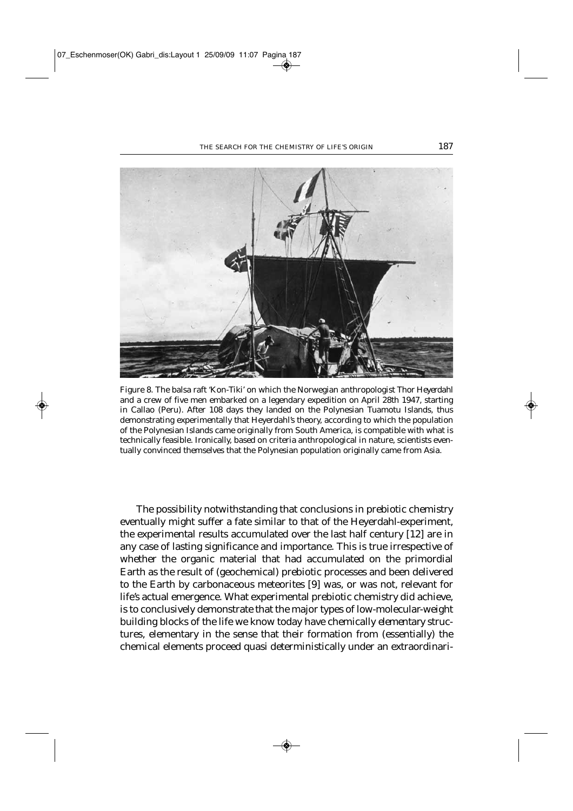

Figure 8. The balsa raft 'Kon-Tiki' on which the Norwegian anthropologist *Thor Heyerdahl* and a crew of five men embarked on a legendary expedition on April 28th 1947, starting in Callao (Peru). After 108 days they landed on the Polynesian Tuamotu Islands, thus demonstrating experimentally that Heyerdahl's theory, according to which the population of the Polynesian Islands came originally from South America, is compatible with what is technically feasible. Ironically, based on criteria anthropological in nature, scientists eventually convinced themselves that the Polynesian population originally came from Asia.

The possibility notwithstanding that conclusions in prebiotic chemistry eventually might suffer a fate similar to that of the Heyerdahl-experiment, the experimental results accumulated over the last half century [12] are in any case of lasting significance and importance. This is true irrespective of whether the organic material that had accumulated on the primordial Earth as the result of (geochemical) prebiotic processes and been delivered to the Earth by carbonaceous meteorites [9] was, or was not, relevant for life's actual emergence. What experimental prebiotic chemistry did achieve, is to conclusively demonstrate that the major types of low-molecular-weight building blocks of the life we know today have chemically *elementary* structures, elementary in the sense that their formation from (essentially) the chemical elements proceed quasi deterministically under an extraordinari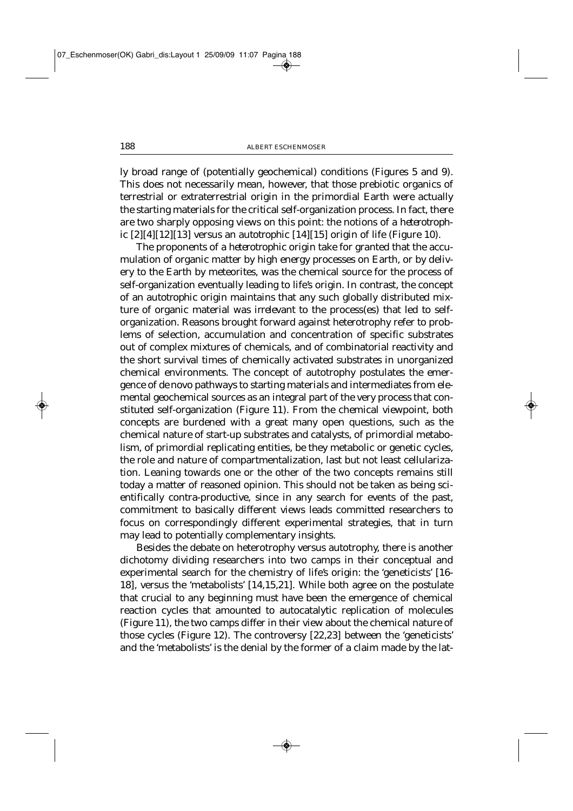ly broad range of (potentially geochemical) conditions (Figures 5 and 9). This does not necessarily mean, however, that those prebiotic organics of terrestrial or extraterrestrial origin in the primordial Earth were actually the starting materials for the critical self-organization process. In fact, there are two sharply opposing views on this point: the notions of a *heterotrophic* [2][4][12][13] versus an *autotrophic* [14][15] origin of life (Figure 10).

The proponents of a *heterotrophic* origin take for granted that the accumulation of organic matter by high energy processes on Earth, or by delivery to the Earth by meteorites, was the chemical source for the process of self-organization eventually leading to life's origin. In contrast, the concept of an *autotrophic* origin maintains that any such globally distributed mixture of organic material was *irrelevant* to the process(es) that led to selforganization. Reasons brought forward against heterotrophy refer to problems of selection, accumulation and concentration of specific substrates out of complex mixtures of chemicals, and of combinatorial reactivity and the short survival times of chemically activated substrates in unorganized chemical environments. The concept of autotrophy postulates the emergence of *de novo* pathways to starting materials and intermediates from elemental geochemical sources as an integral part of the very process that constituted self-organization (Figure 11). From the chemical viewpoint, both concepts are burdened with a great many open questions, such as the chemical nature of start-up substrates and catalysts, of primordial metabolism, of primordial replicating entities, be they metabolic or genetic cycles, the role and nature of compartmentalization, last but not least cellularization. Leaning towards one or the other of the two concepts remains still today a matter of reasoned opinion. This should not be taken as being scientifically contra-productive, since in any search for events of the past, commitment to basically different views leads committed researchers to focus on correspondingly different experimental strategies, that in turn may lead to potentially complementary insights.

Besides the debate on heterotrophy versus autotrophy, there is another dichotomy dividing researchers into two camps in their conceptual and experimental search for the chemistry of life's origin: the 'geneticists' [16- 18], versus the 'metabolists' [14,15,21]. While both agree on the postulate that crucial to any beginning must have been the emergence of chemical reaction cycles that amounted to autocatalytic replication of molecules (Figure 11), the two camps differ in their view about the chemical nature of those cycles (Figure 12). The controversy [22,23] between the 'geneticists' and the 'metabolists' is the denial by the former of a claim made by the lat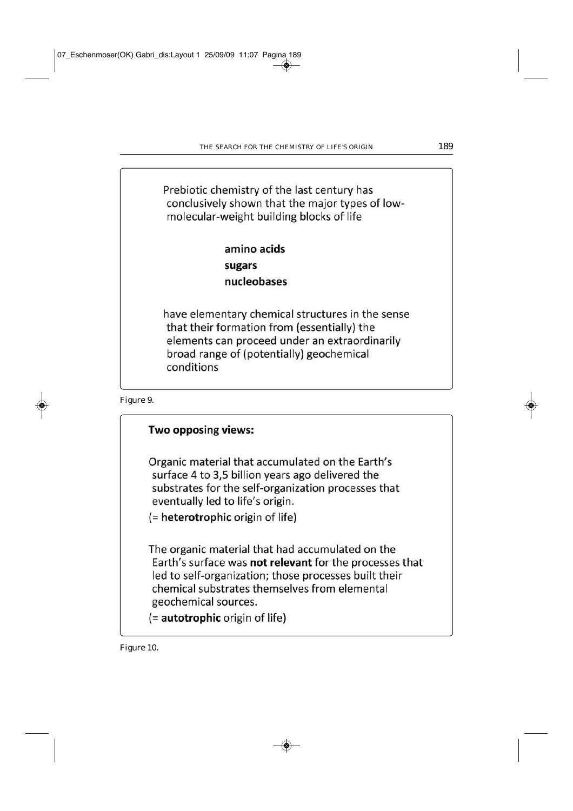Prebiotic chemistry of the last century has conclusively shown that the major types of lowmolecular-weight building blocks of life

> amino acids sugars nucleobases

have elementary chemical structures in the sense that their formation from (essentially) the elements can proceed under an extraordinarily broad range of (potentially) geochemical conditions

Figure 9.

### Two opposing views:

Organic material that accumulated on the Earth's surface 4 to 3,5 billion years ago delivered the substrates for the self-organization processes that eventually led to life's origin.

(= heterotrophic origin of life)

The organic material that had accumulated on the Earth's surface was not relevant for the processes that led to self-organization; those processes built their chemical substrates themselves from elemental geochemical sources.

(= autotrophic origin of life)

Figure 10.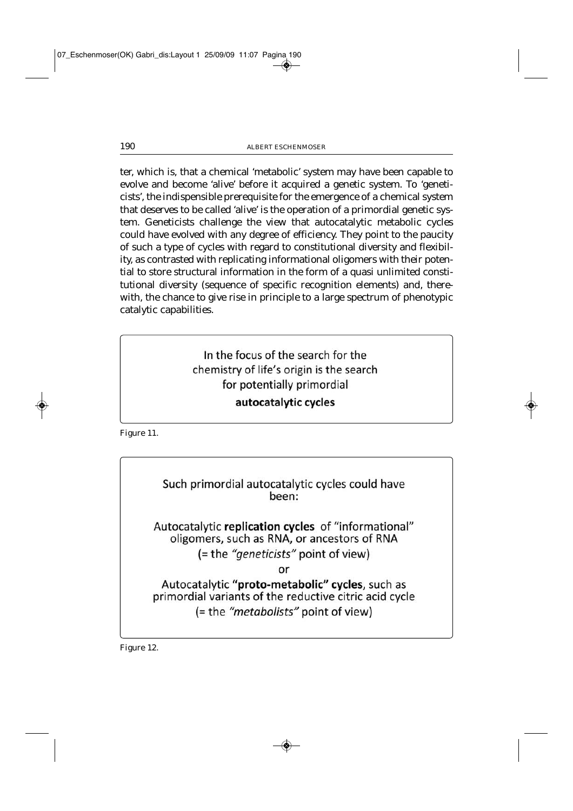ter, which is, that a chemical 'metabolic' system may have been capable to evolve and become 'alive' before it acquired a genetic system. To 'geneticists', the indispensible prerequisite for the emergence of a chemical system that deserves to be called 'alive' is the operation of a primordial genetic system. Geneticists challenge the view that autocatalytic metabolic cycles could have evolved with any degree of efficiency. They point to the paucity of such a type of cycles with regard to constitutional diversity and flexibility, as contrasted with replicating informational oligomers with their potential to store structural information in the form of a quasi unlimited constitutional diversity (sequence of specific recognition elements) and, therewith, the chance to give rise in principle to a large spectrum of phenotypic catalytic capabilities.

# In the focus of the search for the chemistry of life's origin is the search for potentially primordial autocatalytic cycles

Figure 11.

Such primordial autocatalytic cycles could have been:

Autocatalytic replication cycles of "informational" oligomers, such as RNA, or ancestors of RNA (= the "geneticists" point of view)

or

Autocatalytic "proto-metabolic" cycles, such as primordial variants of the reductive citric acid cycle (= the "metabolists" point of view)

Figure 12.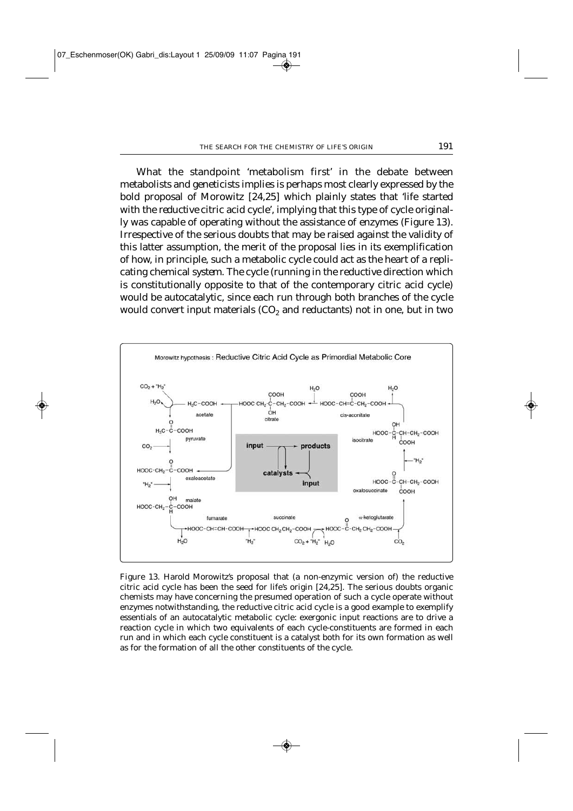What the standpoint 'metabolism first' in the debate between metabolists and geneticists implies is perhaps most clearly expressed by the bold proposal of Morowitz [24,25] which plainly states that 'life started with the *reductive* citric acid cycle', implying that this type of cycle originally was capable of operating without the assistance of enzymes (Figure 13). Irrespective of the serious doubts that may be raised against the validity of this latter assumption, the merit of the proposal lies in its exemplification of how, in principle, such a metabolic cycle could act as the heart of a replicating chemical *system*. The cycle (running in the reductive direction which is constitutionally opposite to that of the contemporary citric acid cycle) would be autocatalytic, since each run through both branches of the cycle would convert input materials  $(CO<sub>2</sub>)$  and reductants) not in one, but in two



Figure 13. *Harold Morowitz's* proposal that (a non-enzymic version of) the reductive citric acid cycle has been the seed for life's origin [24,25]. The serious doubts organic chemists may have concerning the presumed operation of such a cycle operate without enzymes notwithstanding, the reductive citric acid cycle is a good example to exemplify essentials of an autocatalytic metabolic cycle: exergonic input reactions are to drive a reaction cycle in which two equivalents of each cycle-constituents are formed in each run and in which each cycle constituent is a catalyst both for its own formation as well as for the formation of all the other constituents of the cycle.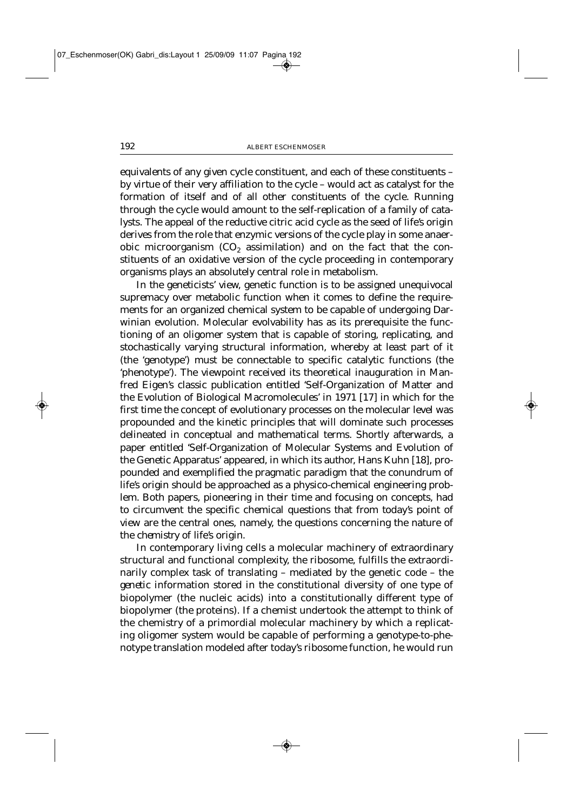equivalents of any given cycle constituent, and each of these constituents – by virtue of their very affiliation to the cycle – would act as catalyst for the formation of itself and of all other constituents of the cycle. Running through the cycle would amount to the self-replication of a family of catalysts. The appeal of the reductive citric acid cycle as the seed of life's origin derives from the role that enzymic versions of the cycle play in some anaerobic microorganism  $(CO<sub>2</sub>$  assimilation) and on the fact that the constituents of an oxidative version of the cycle proceeding in contemporary organisms plays an absolutely central role in metabolism.

In the geneticists' view, genetic function is to be assigned unequivocal supremacy over metabolic function when it comes to define the requirements for an organized chemical system to be capable of undergoing Darwinian evolution. Molecular evolvability has as its prerequisite the functioning of an oligomer system that is capable of storing, replicating, and stochastically varying structural information, whereby at least part of it (the 'genotype') must be connectable to specific catalytic functions (the 'phenotype'). The viewpoint received its theoretical inauguration in Manfred Eigen's classic publication entitled 'Self-Organization of Matter and the Evolution of Biological Macromolecules' in 1971 [17] in which for the first time the concept of evolutionary processes on the molecular level was propounded and the kinetic principles that will dominate such processes delineated in conceptual and mathematical terms. Shortly afterwards, a paper entitled 'Self-Organization of Molecular Systems and Evolution of the Genetic Apparatus' appeared, in which its author, Hans Kuhn [18], propounded and exemplified the pragmatic paradigm that the conundrum of life's origin should be approached as a physico-chemical engineering problem. Both papers, pioneering in their time and focusing on concepts, had to circumvent the specific chemical questions that from today's point of view are the central ones, namely, the questions concerning the nature of the *chemistry* of life's origin.

In contemporary living cells a molecular machinery of extraordinary structural and functional complexity, the ribosome, fulfills the extraordinarily complex task of translating – mediated by the genetic code – the *genetic* information stored in the constitutional diversity of one type of biopolymer (the nucleic acids) into a constitutionally different type of biopolymer (the proteins). If a chemist undertook the attempt to think of the chemistry of a primordial molecular machinery by which a replicating oligomer system would be capable of performing a genotype-to-phenotype translation modeled after today's ribosome function, he would run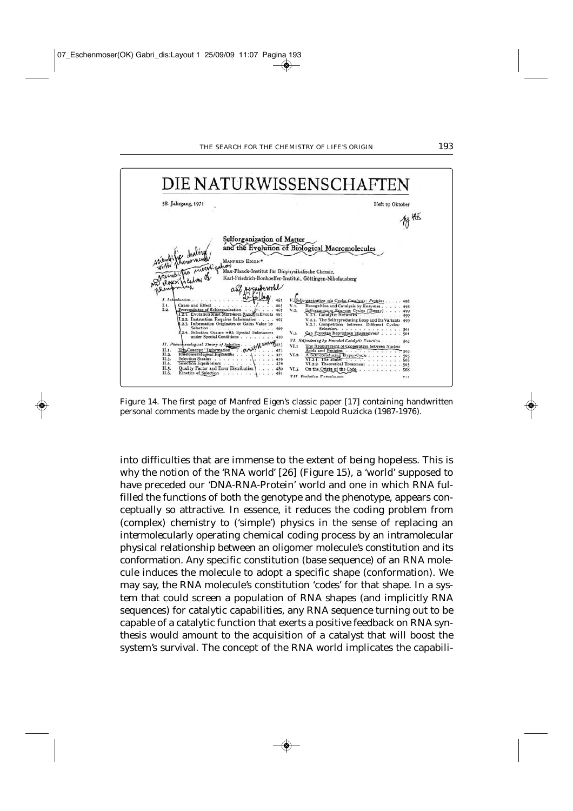

Figure 14. The first page of *Manfred Eigen's* classic paper [17] containing handwritten personal comments made by the organic chemist *Leopold Ruzicka* (1987-1976).

into difficulties that are immense to the extent of being hopeless. This is why the notion of the '*RNA world*' [26] (Figure 15), a 'world' supposed to have preceded our 'DNA-RNA-Protein' world and one in which RNA fulfilled the functions of both the genotype and the phenotype, appears conceptually so attractive. In essence, it reduces the coding problem from (complex) chemistry to ('simple') physics in the sense of replacing an *intermolecular*ly operating chemical coding process by an i*ntramolecular* physical relationship between an oligomer molecule's *constitution* and its *conformation*. Any specific constitution (base sequence) of an RNA molecule induces the molecule to adopt a specific shape (conformation). We may say, the RNA molecule's constitution '*codes'* for that shape. In a system that could screen a population of RNA shapes (and implicitly RNA sequences) for catalytic capabilities, any RNA sequence turning out to be capable of a catalytic function that exerts a positive feedback on RNA synthesis would amount to the acquisition of a catalyst that will boost the system's survival. The concept of the RNA world implicates the capabili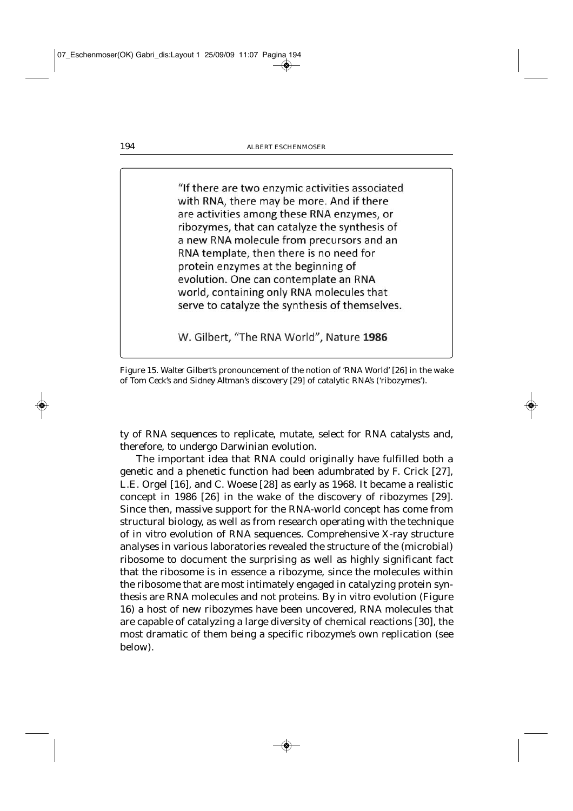"If there are two enzymic activities associated with RNA, there may be more. And if there are activities among these RNA enzymes, or ribozymes, that can catalyze the synthesis of a new RNA molecule from precursors and an RNA template, then there is no need for protein enzymes at the beginning of evolution. One can contemplate an RNA world, containing only RNA molecules that serve to catalyze the synthesis of themselves.

W. Gilbert, "The RNA World", Nature 1986

Figure 15. *Walter Gilbert's* pronouncement of the notion of 'RNA World' [26] in the wake of *Tom Ceck's* and *Sidney Altman's* discovery [29] of catalytic RNA's ('ribozymes').

ty of RNA sequences to replicate, mutate, select for RNA catalysts and, therefore, to undergo Darwinian evolution.

The important idea that RNA could originally have fulfilled both a genetic and a phenetic function had been adumbrated by F. Crick [27], L.E. Orgel [16], and C. Woese [28] as early as 1968. It became a realistic concept in 1986 [26] in the wake of the discovery of ribozymes [29]. Since then, massive support for the RNA-world concept has come from structural biology, as well as from research operating with the technique of *in vitro* evolution of RNA sequences. Comprehensive X-ray structure analyses in various laboratories revealed the structure of the (microbial) ribosome to document the surprising as well as highly significant fact that the ribosome is in essence a ribozyme, since the molecules within the ribosome that are most intimately engaged in catalyzing protein synthesis are RNA molecules and not proteins. By *in vitro* evolution (Figure 16) a host of new ribozymes have been uncovered, RNA molecules that are capable of catalyzing a large diversity of chemical reactions [30], the most dramatic of them being a specific ribozyme's own replication (see below).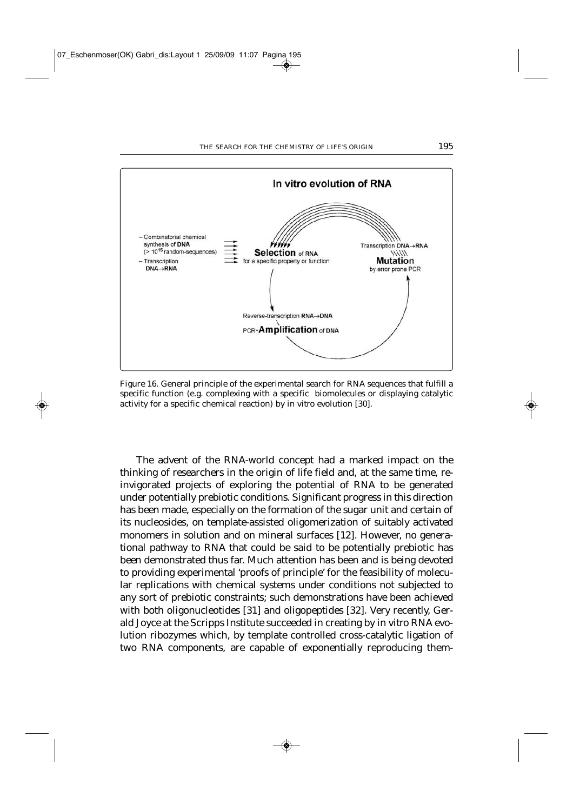

Figure 16. General principle of the experimental search for RNA sequences that fulfill a specific function (e.g. complexing with a specific biomolecules or displaying catalytic activity for a specific chemical reaction) by *in vitro* evolution [30].

The advent of the RNA-world concept had a marked impact on the thinking of researchers in the origin of life field and, at the same time, reinvigorated projects of exploring the potential of RNA to be generated under potentially prebiotic conditions. Significant progress in this direction has been made, especially on the formation of the sugar unit and certain of its nucleosides, on template-assisted oligomerization of suitably activated monomers in solution and on mineral surfaces [12]. However, no generational pathway to RNA that could be said to be potentially prebiotic has been demonstrated thus far. Much attention has been and is being devoted to providing experimental 'proofs of principle' for the feasibility of molecular replications with chemical systems under conditions not subjected to any sort of prebiotic constraints; such demonstrations have been achieved with both oligonucleotides [31] and oligopeptides [32]. Very recently, Gerald Joyce at the Scripps Institute succeeded in creating by *in vitro* RNA evolution ribozymes which, by template controlled cross-catalytic ligation of two RNA components, are capable of exponentially reproducing them-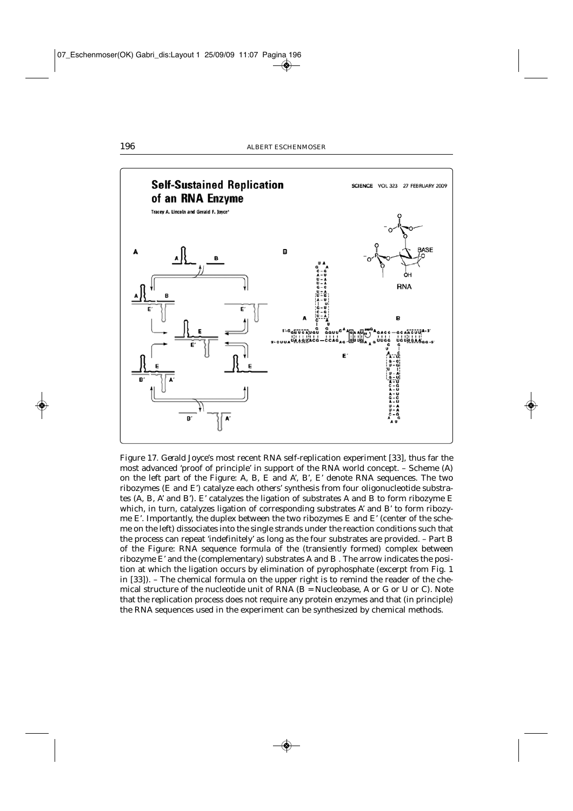

Figure 17. *Gerald Joyce'*s most recent RNA self-replication experiment [33], thus far the most advanced 'proof of principle' in support of the RNA world concept. – Scheme (A) on the left part of the Figure: A, B, E and A', B', E' denote RNA sequences. The two ribozymes (E and E') catalyze each others' synthesis from four oligonucleotide substrates (A, B, A' and B'). E' catalyzes the ligation of substrates A and B to form ribozyme E which, in turn, catalyzes ligation of corresponding substrates A' and B' to form ribozyme E'. Importantly, the duplex between the two ribozymes E and E' (center of the scheme on the left) dissociates into the single strands under the reaction conditions such that the process can repeat 'indefinitely' as long as the four substrates are provided. – Part B of the Figure: RNA sequence formula of the (transiently formed) complex between ribozyme E' and the (complementary) substrates A and B . The arrow indicates the position at which the ligation occurs by elimination of pyrophosphate (excerpt from Fig. 1 in [33]). – The chemical formula on the upper right is to remind the reader of the chemical structure of the nucleotide unit of  $RNA$  ( $B = Nucleobase$ , A or G or U or C). Note that the replication process does not require any protein enzymes and that (in principle) the RNA sequences used in the experiment can be synthesized by chemical methods.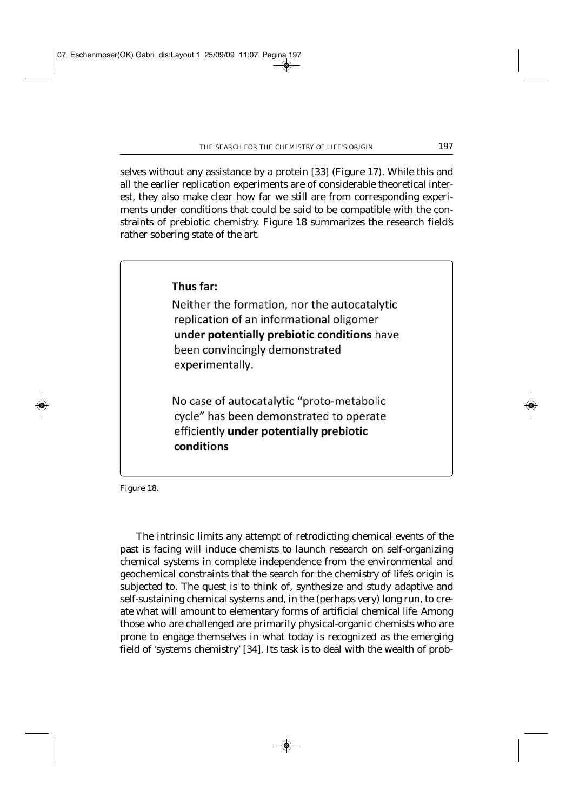selves without any assistance by a protein [33] (Figure 17). While this and all the earlier replication experiments are of considerable theoretical interest, they also make clear how far we still are from corresponding experiments under conditions that could be said to be compatible with the constraints of prebiotic chemistry. Figure 18 summarizes the research field's rather sobering state of the art.



Figure 18.

The intrinsic limits any attempt of retrodicting chemical events of the past is facing will induce chemists to launch research on self-organizing chemical systems in complete independence from the environmental and geochemical constraints that the search for the chemistry of life's origin is subjected to. The quest is to think of, synthesize and study adaptive and self*-*sustaining chemical systems and, in the (perhaps very) long run, to create what will amount to elementary forms of *artificial chemical life*. Among those who are challenged are primarily physical-organic chemists who are prone to engage themselves in what today is recognized as the emerging field of 'systems chemistry' [34]. Its task is to deal with the wealth of prob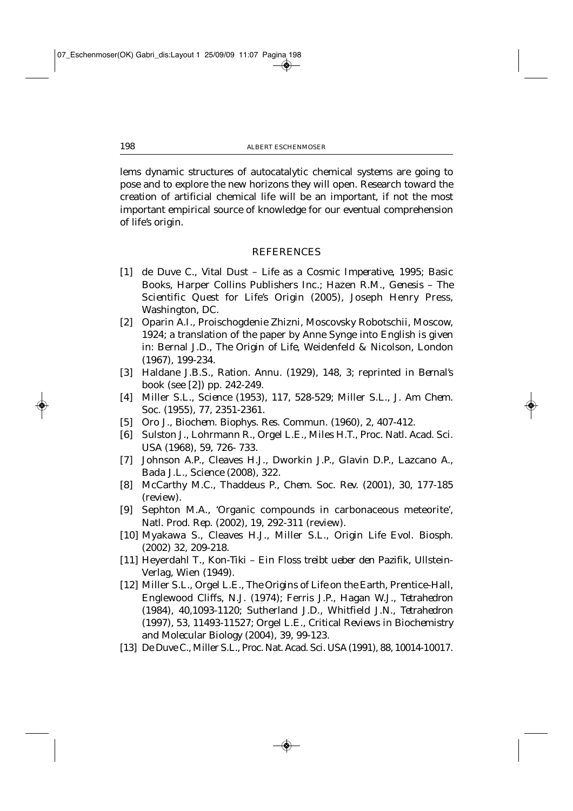lems dynamic structures of autocatalytic chemical systems are going to pose and to explore the new horizons they will open. Research toward the creation of artificial chemical life will be an important, if not the most important empirical source of knowledge for our eventual comprehension of life's origin.

#### REFERENCES

- [1] de Duve C., *Vital Dust Life as a Cosmic Imperative*, 1995; Basic Books, Harper Collins Publishers Inc.; Hazen R.M., *Genesis – The Scientific Quest for Life's Origin* (2005), Joseph Henry Press, Washington, DC.
- [2] Oparin A.I., Proischogdenie Zhizni, Moscovsky Robotschii, Moscow, 1924; a translation of the paper by Anne Synge into English is given in: Bernal J.D*., The Origin of Life*, Weidenfeld & Nicolson, London (1967), 199-234.
- [3] Haldane J.B.S., *Ration. Annu*. (1929), *148*, 3; reprinted in *Bernal*'s book (see [2]) pp. 242-249.
- [4] Miller S.L., *Science* (1953), *117*, 528-529; Miller S.L., *J. Am Chem. Soc*. (1955), *77*, 2351-2361.
- [5] Oro J., *Biochem. Biophys. Res. Commun*. (1960), *2*, 407-412.
- [6] Sulston J., Lohrmann R., Orgel L.E., Miles H.T., *Proc. Natl. Acad. Sci. USA* (1968), *59*, 726- 733.
- [7] Johnson A.P., Cleaves H.J., Dworkin J.P., Glavin D.P., Lazcano A., Bada J.L.*, Science* (2008), *322.*
- [8] McCarthy M.C., Thaddeus P., *Chem. Soc. Rev.* (2001), *30*, 177-185 (review).
- [9] Sephton M.A*.,* 'Organic compounds in carbonaceous meteorite', *Natl. Prod. Rep*. (2002), *19*, 292-311 (review).
- [10] Myakawa S., Cleaves H.J., Miller S.L., *Origin Life Evol. Biosph*. (2002) *32*, 209-218.
- [11] Heyerdahl T*., Kon-Tiki Ein Floss treibt ueber den Pazifik*, Ullstein-Verlag, Wien (1949).
- [12] Miller S.L., Orgel L.E., *The Origins of Life on the Earth*, Prentice-Hall, Englewood Cliffs, N.J. (1974); Ferris J.P., Hagan W.J., *Tetrahedron* (1984), *40*,1093-1120; Sutherland J.D., Whitfield J.N., *Tetrahedron* (1997), *53*, 11493-11527; Orgel L.E.*, Critical Reviews in Biochemistry and Molecular Biology* (2004)*, 39*, 99-123.
- [13] De Duve C., Miller S.L., *Proc. Nat. Acad. Sci. USA* (1991), *88*, 10014-10017.